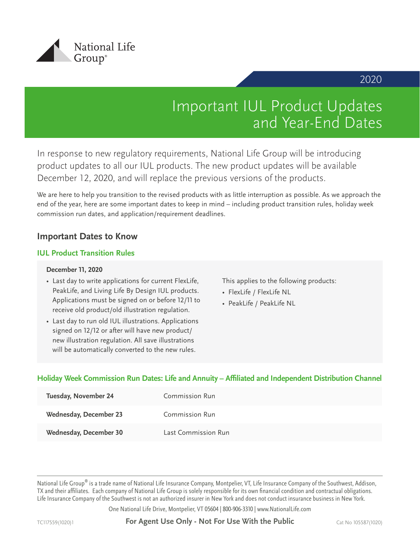

# 2020

# Important IUL Product Updates and Year-End Dates

In response to new regulatory requirements, National Life Group will be introducing product updates to all our IUL products. The new product updates will be available December 12, 2020, and will replace the previous versions of the products.

We are here to help you transition to the revised products with as little interruption as possible. As we approach the end of the year, here are some important dates to keep in mind – including product transition rules, holiday week commission run dates, and application/requirement deadlines.

# **Important Dates to Know**

#### **IUL Product Transition Rules**

#### **December 11, 2020**

- Last day to write applications for current FlexLife, PeakLife, and Living Life By Design IUL products. Applications must be signed on or before 12/11 to receive old product/old illustration regulation.
- Last day to run old IUL illustrations. Applications signed on 12/12 or after will have new product/ new illustration regulation. All save illustrations will be automatically converted to the new rules.

This applies to the following products:

- FlexLife / FlexLife NL
- PeakLife / PeakLife NL

## Holiday Week Commission Run Dates: Life and Annuity - Affiliated and Independent Distribution Channel

| Tuesday, November 24          | Commission Run      |
|-------------------------------|---------------------|
| <b>Wednesday, December 23</b> | Commission Run      |
| <b>Wednesday, December 30</b> | Last Commission Run |

National Life Group® is a trade name of National Life Insurance Company, Montpelier, VT, Life Insurance Company of the Southwest, Addison, TX and their affiliates. Each company of National Life Group is solely responsible for its own financial condition and contractual obligations. Life Insurance Company of the Southwest is not an authorized insurer in New York and does not conduct insurance business in New York.

One National Life Drive, Montpelier, VT 05604 | 800-906-3310 | www.NationalLife.com

TC117559(1020)1 **For Agent Use Only - Not For Use With the Public** Cat No 105587(1020)